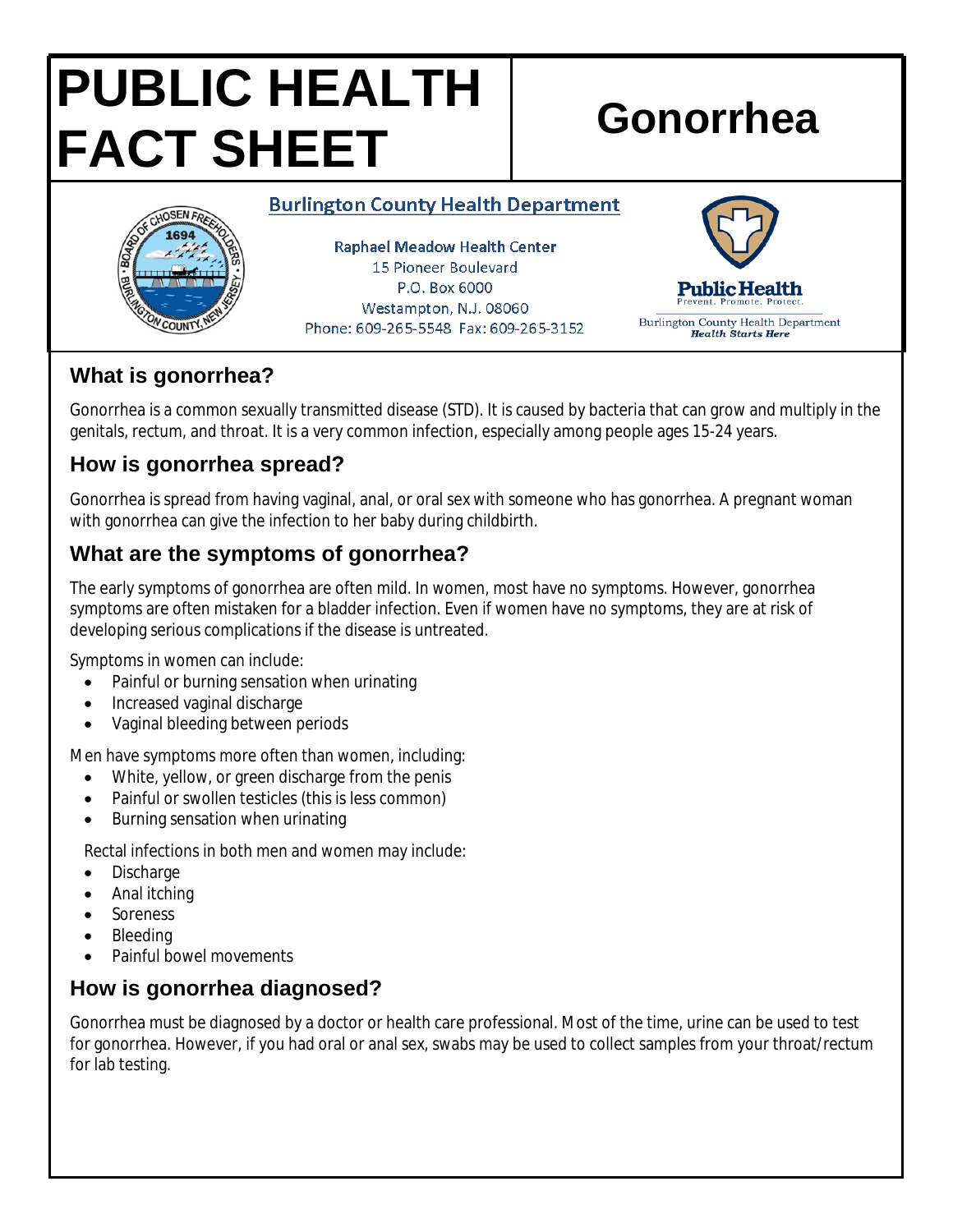# **PUBLIC HEALTH FACT SHEET** Gonorrhea

#### **Burlington County Health Department**



**Raphael Meadow Health Center** 15 Pioneer Boulevard P.O. Box 6000 Westampton, N.J. 08060 Phone: 609-265-5548 Fax: 609-265-3152



# **What is gonorrhea?**

Gonorrhea is a common sexually transmitted disease (STD). It is caused by bacteria that can grow and multiply in the genitals, rectum, and throat. It is a very common infection, especially among people ages 15-24 years.

# **How is gonorrhea spread?**

Gonorrhea is spread from having vaginal, anal, or oral sex with someone who has gonorrhea. A pregnant woman with gonorrhea can give the infection to her baby during childbirth.

# **What are the symptoms of gonorrhea?**

The early symptoms of gonorrhea are often mild. In women, most have no symptoms. However, gonorrhea symptoms are often mistaken for a bladder infection. Even if women have no symptoms, they are at risk of developing serious complications if the disease is untreated.

Symptoms in women can include:

- Painful or burning sensation when urinating
- Increased vaginal discharge
- Vaginal bleeding between periods

Men have symptoms more often than women, including:

- White, yellow, or green discharge from the penis
- Painful or swollen testicles (this is less common)
- Burning sensation when urinating

Rectal infections in both men and women may include:

- Discharge
- Anal itching
- Soreness
- Bleeding
- Painful bowel movements

# **How is gonorrhea diagnosed?**

Gonorrhea must be diagnosed by a doctor or health care professional. Most of the time, urine can be used to test for gonorrhea. However, if you had oral or anal sex, swabs may be used to collect samples from your throat/rectum for lab testing.